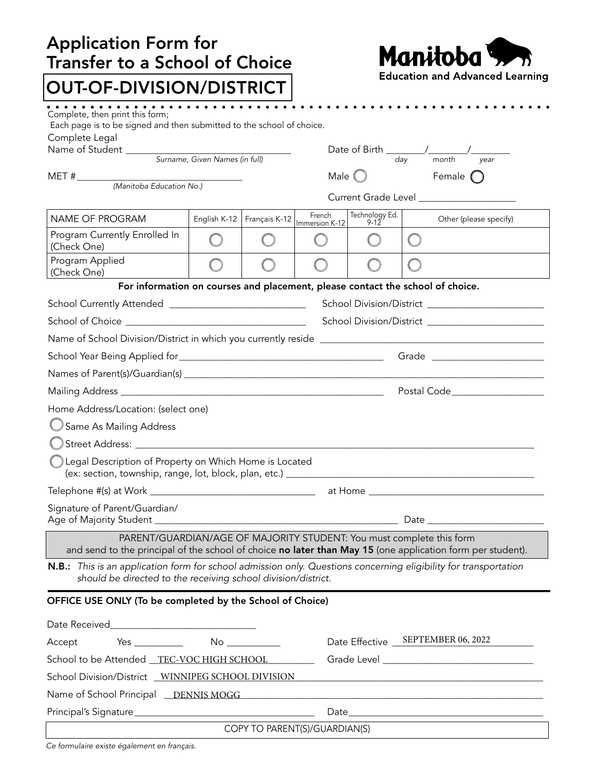| <b>Application Form for</b><br><b>Transfer to a School of Choice</b>                                                                                                                                                           |              | Manitoba <sup>v</sup> |                                          |                                        |                                                           |  |
|--------------------------------------------------------------------------------------------------------------------------------------------------------------------------------------------------------------------------------|--------------|-----------------------|------------------------------------------|----------------------------------------|-----------------------------------------------------------|--|
| <b>OUT-OF-DIVISION/DISTRICT</b>                                                                                                                                                                                                |              |                       |                                          | <b>Education and Advanced Learning</b> |                                                           |  |
| . <u>.</u><br>Complete, then print this form;<br>Each page is to be signed and then submitted to the school of choice.<br>Complete Legal                                                                                       |              |                       |                                          |                                        |                                                           |  |
|                                                                                                                                                                                                                                |              |                       |                                          |                                        | Date of Birth $\frac{1}{\frac{1}{\text{day}}}$ month year |  |
|                                                                                                                                                                                                                                |              |                       |                                          |                                        |                                                           |  |
| $MET # \_\_ (Manitoba\ Education\ No.)$                                                                                                                                                                                        |              |                       | Male $\bigcirc$ Female $\bigcirc$        |                                        |                                                           |  |
|                                                                                                                                                                                                                                |              |                       | Current Grade Level ____________________ |                                        |                                                           |  |
| NAME OF PROGRAM                                                                                                                                                                                                                | English K-12 |                       | French<br>Français K-12   Immersion K-12 | Technology Ed.<br>$9 - 12$             | Other (please specify)                                    |  |
| Program Currently Enrolled In<br>(Check One)                                                                                                                                                                                   |              |                       |                                          |                                        |                                                           |  |
| Program Applied<br>(Check One)                                                                                                                                                                                                 |              |                       |                                          |                                        |                                                           |  |
| For information on courses and placement, please contact the school of choice.                                                                                                                                                 |              |                       |                                          |                                        |                                                           |  |
| School Currently Attended _______________________________                                                                                                                                                                      |              |                       |                                          |                                        |                                                           |  |
|                                                                                                                                                                                                                                |              |                       |                                          |                                        |                                                           |  |
|                                                                                                                                                                                                                                |              |                       |                                          |                                        |                                                           |  |
|                                                                                                                                                                                                                                |              |                       |                                          |                                        |                                                           |  |
|                                                                                                                                                                                                                                |              |                       |                                          |                                        |                                                           |  |
|                                                                                                                                                                                                                                |              |                       |                                          |                                        |                                                           |  |
| Home Address/Location: (select one)                                                                                                                                                                                            |              |                       |                                          |                                        |                                                           |  |
| Same As Mailing Address                                                                                                                                                                                                        |              |                       |                                          |                                        |                                                           |  |
|                                                                                                                                                                                                                                |              |                       |                                          |                                        |                                                           |  |
| Legal Description of Property on Which Home is Located                                                                                                                                                                         |              |                       |                                          |                                        |                                                           |  |
|                                                                                                                                                                                                                                |              |                       |                                          |                                        |                                                           |  |
| Signature of Parent/Guardian/                                                                                                                                                                                                  |              |                       |                                          |                                        |                                                           |  |
| PARENT/GUARDIAN/AGE OF MAJORITY STUDENT: You must complete this form<br>and send to the principal of the school of choice no later than May 15 (one application form per student).                                             |              |                       |                                          |                                        |                                                           |  |
| N.B.: This is an application form for school admission only. Questions concerning eligibility for transportation<br>should be directed to the receiving school division/district.                                              |              |                       |                                          |                                        |                                                           |  |
| OFFICE USE ONLY (To be completed by the School of Choice)                                                                                                                                                                      |              |                       |                                          |                                        |                                                           |  |
|                                                                                                                                                                                                                                |              |                       |                                          |                                        |                                                           |  |
| $Yes$ $No$ $No$<br>Accept                                                                                                                                                                                                      |              |                       |                                          | Date Effective _ SEPTEMBER 06, 2022    |                                                           |  |
| School to be Attended TEC-VOC HIGH SCHOOL                                                                                                                                                                                      |              |                       |                                          |                                        |                                                           |  |
| School Division/District WINNIPEG SCHOOL DIVISION NAMES AND RELEASE AND RELEASE AND RELEASE AND RELEASE AND RELEASE AND RELEASE AND RELEASE AND RELEASE AND RELEASE AND RELEASE AND RELEASE AND RELEASE AND RELEASE AND RELEAS |              |                       |                                          |                                        |                                                           |  |
|                                                                                                                                                                                                                                |              |                       |                                          |                                        |                                                           |  |
|                                                                                                                                                                                                                                |              |                       |                                          |                                        |                                                           |  |
| COPY TO PARENT(S)/GUARDIAN(S)                                                                                                                                                                                                  |              |                       |                                          |                                        |                                                           |  |
|                                                                                                                                                                                                                                |              |                       |                                          |                                        |                                                           |  |

*Ce formulaire existe également en français.*